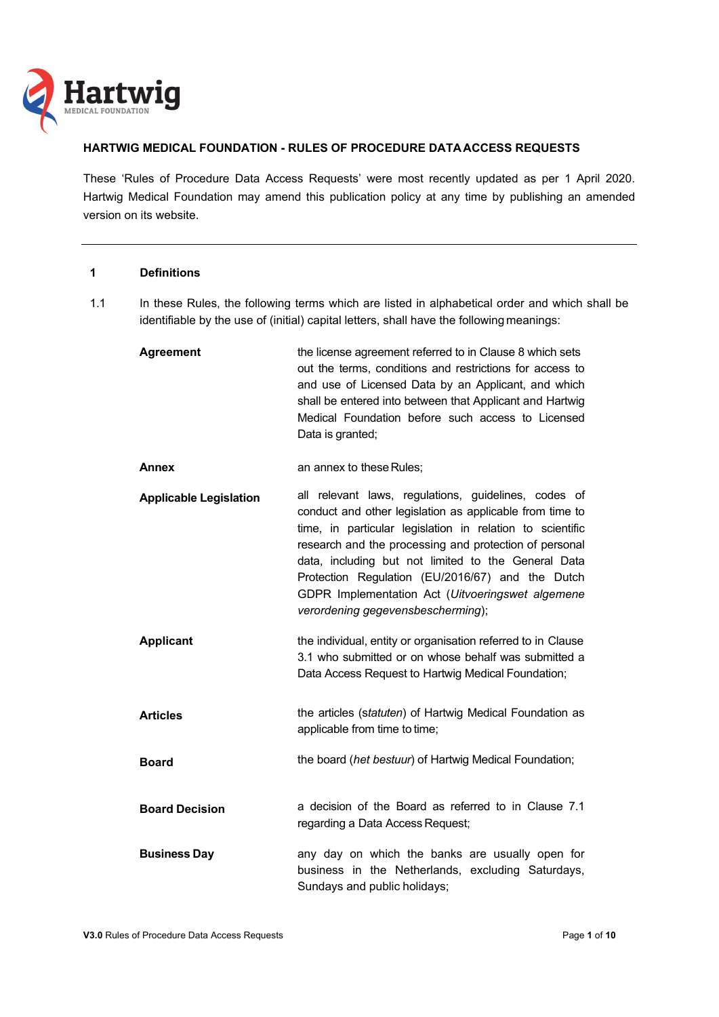

# **HARTWIG MEDICAL FOUNDATION - RULES OF PROCEDURE DATA ACCESS REQUESTS**

These 'Rules of Procedure Data Access Requests' were most recently updated as per 1 April 2020. Hartwig Medical Foundation may amend this publication policy at any time by publishing an amended version on its website.

## **1 Definitions**

- 1.1 In these Rules, the following terms which are listed in alphabetical order and which shall be identifiable by the use of (initial) capital letters, shall have the following meanings:
	- **Agreement EXECUTE:** the license agreement referred to in Clause 8 which sets out the terms, conditions and restrictions for access to and use of Licensed Data by an Applicant, and which shall be entered into between that Applicant and Hartwig Medical Foundation before such access to Licensed Data is granted; **Annex** an annex to these Rules;  **Applicable Legislation** all relevant laws, regulations, guidelines, codes of conduct and other legislation as applicable from time to time, in particular legislation in relation to scientific research and the processing and protection of personal data, including but not limited to the General Data Protection Regulation (EU/2016/67) and the Dutch GDPR Implementation Act (*Uitvoeringswet algemene verordening gegevensbescherming*); **Applicant** the individual, entity or organisation referred to in Clause 3.1 who submitted or on whose behalf was submitted a Data Access Request to Hartwig Medical Foundation;  **Articles** the articles (s*tatuten*) of Hartwig Medical Foundation as applicable from time to time; **Board Board** the board (*het bestuur*) of Hartwig Medical Foundation;  **Board Decision** a decision of the Board as referred to in Clause 7.1 regarding a Data Access Request; **Business Day business Day any day on which the banks are usually open for** business in the Netherlands, excluding Saturdays,

Sundays and public holidays;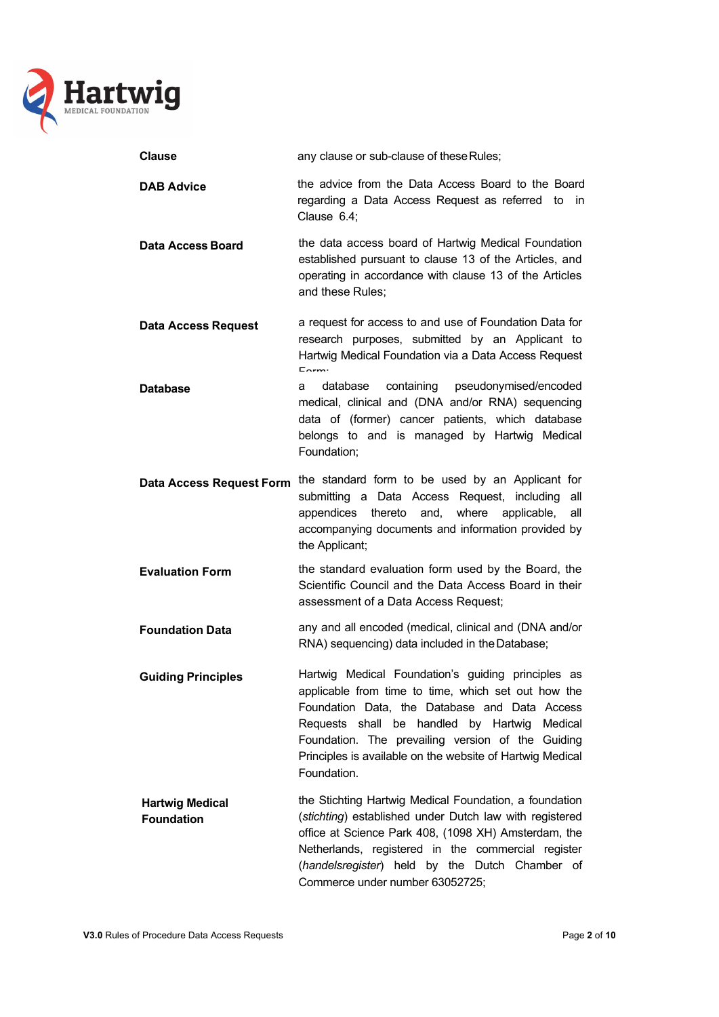

| <b>Clause</b>                   | any clause or sub-clause of these Rules;                                                                                                                                                                                                       |
|---------------------------------|------------------------------------------------------------------------------------------------------------------------------------------------------------------------------------------------------------------------------------------------|
| <b>DAB Advice</b>               | the advice from the Data Access Board to the Board<br>regarding a Data Access Request as referred to<br>in.<br>Clause 6.4;                                                                                                                     |
| <b>Data Access Board</b>        | the data access board of Hartwig Medical Foundation<br>established pursuant to clause 13 of the Articles, and<br>operating in accordance with clause 13 of the Articles<br>and these Rules;                                                    |
| <b>Data Access Request</b>      | a request for access to and use of Foundation Data for<br>research purposes, submitted by an Applicant to<br>Hartwig Medical Foundation via a Data Access Request<br>$E_{\text{arm}}$                                                          |
| <b>Database</b>                 | containing<br>pseudonymised/encoded<br>database<br>a<br>medical, clinical and (DNA and/or RNA) sequencing<br>data of (former) cancer patients, which database<br>belongs to and is managed by Hartwig Medical<br>Foundation;                   |
| <b>Data Access Request Form</b> | the standard form to be used by an Applicant for<br>submitting a Data Access Request, including<br>all<br>thereto<br>where<br>appendices<br>and,<br>applicable,<br>all<br>accompanying documents and information provided by<br>the Applicant; |
| <b>Evaluation Form</b>          | the standard evaluation form used by the Board, the<br>Scientific Council and the Data Access Board in their<br>assessment of a Data Access Request;                                                                                           |
| <b>Foundation Data</b>          | any and all encoded (medical, clinical and (DNA and/or<br>RNA) sequencing) data included in the Database;                                                                                                                                      |
| <b>Guiding Principles</b>       | Hartwig Medical Foundation's guiding principles as<br>annlicable from time to time which set out how the                                                                                                                                       |

applicable from time to time, which set out how the Foundation Data, the Database and Data Access Requests shall be handled by Hartwig Medical Foundation. The prevailing version of the Guiding Principles is available on the website of Hartwig Medical Foundation.

**Hartwig Medical Foundation** the Stichting Hartwig Medical Foundation, a foundation (*stichting*) established under Dutch law with registered office at Science Park 408, (1098 XH) Amsterdam, the Netherlands, registered in the commercial register (*handelsregister*) held by the Dutch Chamber of Commerce under number 63052725;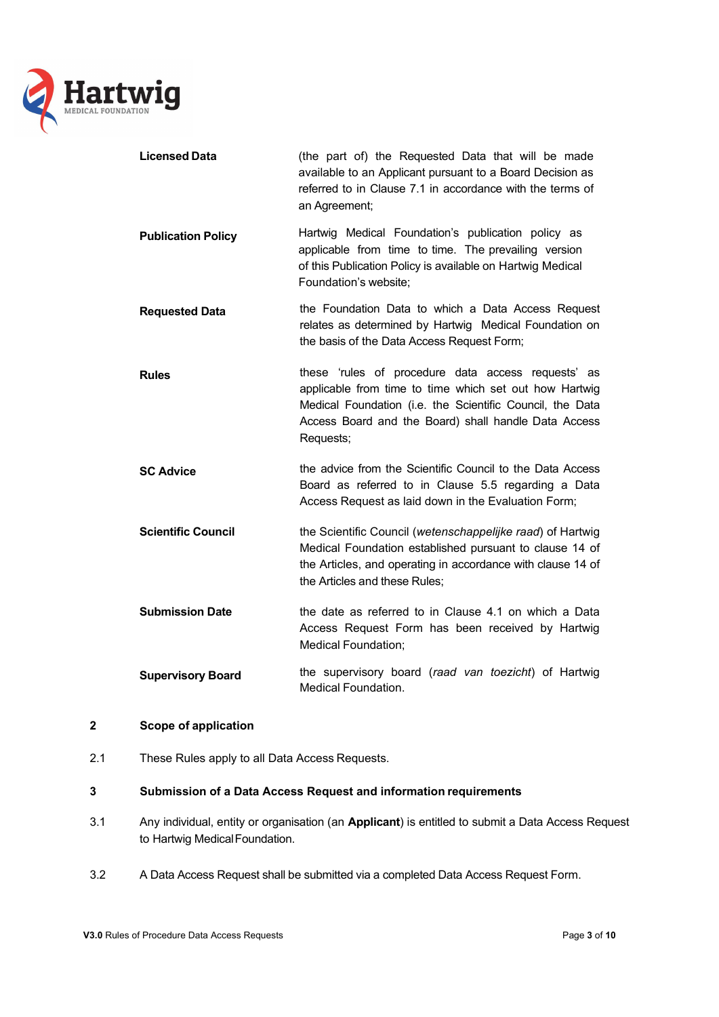

| <b>Licensed Data</b>      | (the part of) the Requested Data that will be made<br>available to an Applicant pursuant to a Board Decision as<br>referred to in Clause 7.1 in accordance with the terms of<br>an Agreement;                                                  |
|---------------------------|------------------------------------------------------------------------------------------------------------------------------------------------------------------------------------------------------------------------------------------------|
| <b>Publication Policy</b> | Hartwig Medical Foundation's publication policy as<br>applicable from time to time. The prevailing version<br>of this Publication Policy is available on Hartwig Medical<br>Foundation's website;                                              |
| <b>Requested Data</b>     | the Foundation Data to which a Data Access Request<br>relates as determined by Hartwig Medical Foundation on<br>the basis of the Data Access Request Form;                                                                                     |
| <b>Rules</b>              | these 'rules of procedure data access requests' as<br>applicable from time to time which set out how Hartwig<br>Medical Foundation (i.e. the Scientific Council, the Data<br>Access Board and the Board) shall handle Data Access<br>Requests; |
| <b>SC Advice</b>          | the advice from the Scientific Council to the Data Access<br>Board as referred to in Clause 5.5 regarding a Data<br>Access Request as laid down in the Evaluation Form;                                                                        |
| <b>Scientific Council</b> | the Scientific Council (wetenschappelijke raad) of Hartwig<br>Medical Foundation established pursuant to clause 14 of<br>the Articles, and operating in accordance with clause 14 of<br>the Articles and these Rules;                          |
| <b>Submission Date</b>    | the date as referred to in Clause 4.1 on which a Data<br>Access Request Form has been received by Hartwig<br><b>Medical Foundation;</b>                                                                                                        |
| <b>Supervisory Board</b>  | the supervisory board (raad van toezicht) of Hartwig<br><b>Medical Foundation.</b>                                                                                                                                                             |

# **2 Scope of application**

2.1 These Rules apply to all Data Access Requests.

# **3 Submission of a Data Access Request and information requirements**

- 3.1 Any individual, entity or organisation (an **Applicant**) is entitled to submit a Data Access Request to Hartwig Medical Foundation.
- 3.2 A Data Access Request shall be submitted via a completed Data Access Request Form.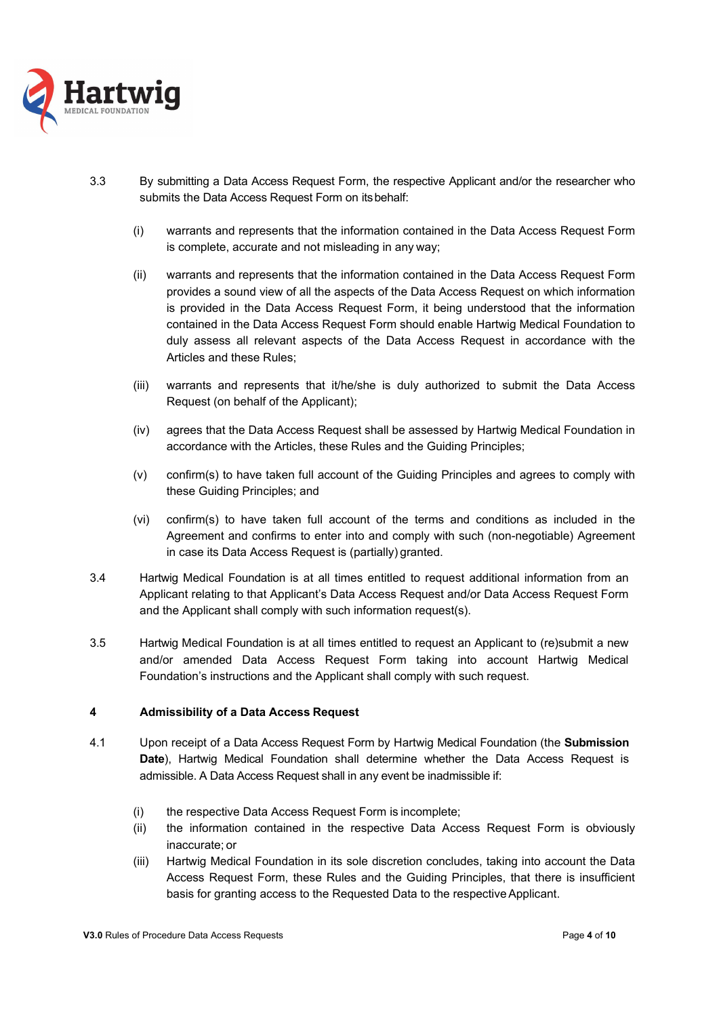

- 3.3 By submitting a Data Access Request Form, the respective Applicant and/or the researcher who submits the Data Access Request Form on its behalf:
	- (i) warrants and represents that the information contained in the Data Access Request Form is complete, accurate and not misleading in any way;
	- (ii) warrants and represents that the information contained in the Data Access Request Form provides a sound view of all the aspects of the Data Access Request on which information is provided in the Data Access Request Form, it being understood that the information contained in the Data Access Request Form should enable Hartwig Medical Foundation to duly assess all relevant aspects of the Data Access Request in accordance with the Articles and these Rules;
	- (iii) warrants and represents that it/he/she is duly authorized to submit the Data Access Request (on behalf of the Applicant);
	- (iv) agrees that the Data Access Request shall be assessed by Hartwig Medical Foundation in accordance with the Articles, these Rules and the Guiding Principles;
	- (v) confirm(s) to have taken full account of the Guiding Principles and agrees to comply with these Guiding Principles; and
	- (vi) confirm(s) to have taken full account of the terms and conditions as included in the Agreement and confirms to enter into and comply with such (non-negotiable) Agreement in case its Data Access Request is (partially) granted.
- 3.4 Hartwig Medical Foundation is at all times entitled to request additional information from an Applicant relating to that Applicant's Data Access Request and/or Data Access Request Form and the Applicant shall comply with such information request(s).
- 3.5 Hartwig Medical Foundation is at all times entitled to request an Applicant to (re)submit a new and/or amended Data Access Request Form taking into account Hartwig Medical Foundation's instructions and the Applicant shall comply with such request.

# **4 Admissibility of a Data Access Request**

- 4.1 Upon receipt of a Data Access Request Form by Hartwig Medical Foundation (the **Submission Date**), Hartwig Medical Foundation shall determine whether the Data Access Request is admissible. A Data Access Request shall in any event be inadmissible if:
	- (i) the respective Data Access Request Form is incomplete;
	- (ii) the information contained in the respective Data Access Request Form is obviously inaccurate; or
	- (iii) Hartwig Medical Foundation in its sole discretion concludes, taking into account the Data Access Request Form, these Rules and the Guiding Principles, that there is insufficient basis for granting access to the Requested Data to the respective Applicant.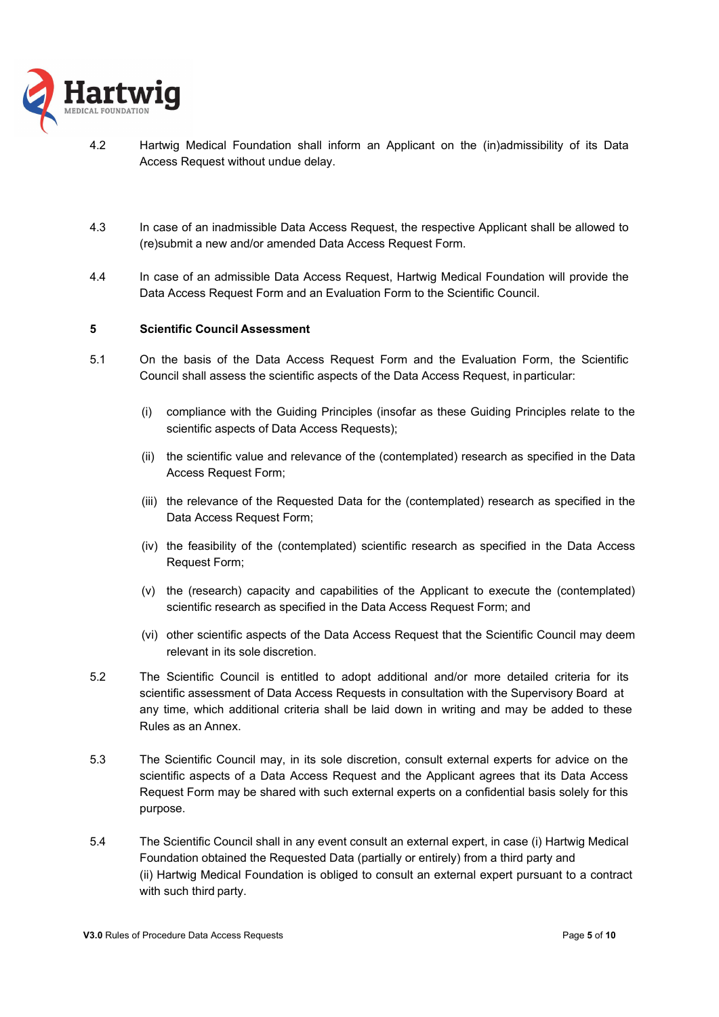

- 4.2 Hartwig Medical Foundation shall inform an Applicant on the (in)admissibility of its Data Access Request without undue delay.
- 4.3 In case of an inadmissible Data Access Request, the respective Applicant shall be allowed to (re)submit a new and/or amended Data Access Request Form.
- 4.4 In case of an admissible Data Access Request, Hartwig Medical Foundation will provide the Data Access Request Form and an Evaluation Form to the Scientific Council.

#### **5 Scientific Council Assessment**

- 5.1 On the basis of the Data Access Request Form and the Evaluation Form, the Scientific Council shall assess the scientific aspects of the Data Access Request, in particular:
	- (i) compliance with the Guiding Principles (insofar as these Guiding Principles relate to the scientific aspects of Data Access Requests);
	- (ii) the scientific value and relevance of the (contemplated) research as specified in the Data Access Request Form;
	- (iii) the relevance of the Requested Data for the (contemplated) research as specified in the Data Access Request Form;
	- (iv) the feasibility of the (contemplated) scientific research as specified in the Data Access Request Form;
	- (v) the (research) capacity and capabilities of the Applicant to execute the (contemplated) scientific research as specified in the Data Access Request Form; and
	- (vi) other scientific aspects of the Data Access Request that the Scientific Council may deem relevant in its sole discretion.
- 5.2 The Scientific Council is entitled to adopt additional and/or more detailed criteria for its scientific assessment of Data Access Requests in consultation with the Supervisory Board at any time, which additional criteria shall be laid down in writing and may be added to these Rules as an Annex.
- 5.3 The Scientific Council may, in its sole discretion, consult external experts for advice on the scientific aspects of a Data Access Request and the Applicant agrees that its Data Access Request Form may be shared with such external experts on a confidential basis solely for this purpose.
- 5.4 The Scientific Council shall in any event consult an external expert, in case (i) Hartwig Medical Foundation obtained the Requested Data (partially or entirely) from a third party and (ii) Hartwig Medical Foundation is obliged to consult an external expert pursuant to a contract with such third party.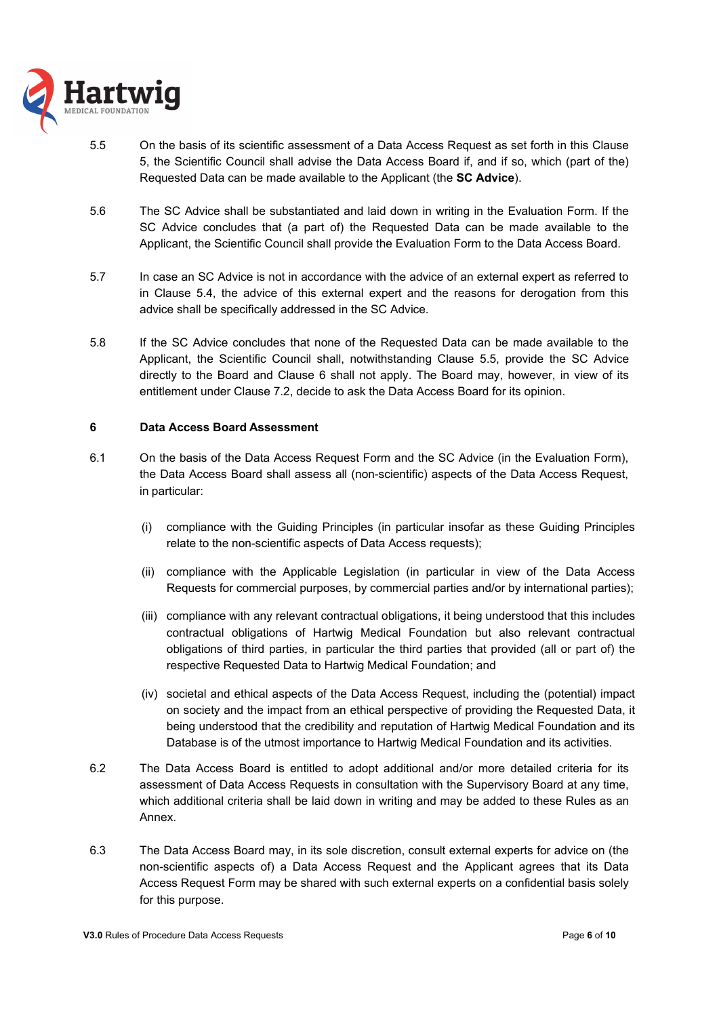

- 5.5 On the basis of its scientific assessment of a Data Access Request as set forth in this Clause 5, the Scientific Council shall advise the Data Access Board if, and if so, which (part of the) Requested Data can be made available to the Applicant (the **SC Advice**).
- 5.6 The SC Advice shall be substantiated and laid down in writing in the Evaluation Form. If the SC Advice concludes that (a part of) the Requested Data can be made available to the Applicant, the Scientific Council shall provide the Evaluation Form to the Data Access Board.
- 5.7 In case an SC Advice is not in accordance with the advice of an external expert as referred to in Clause 5.4, the advice of this external expert and the reasons for derogation from this advice shall be specifically addressed in the SC Advice.
- 5.8 If the SC Advice concludes that none of the Requested Data can be made available to the Applicant, the Scientific Council shall, notwithstanding Clause 5.5, provide the SC Advice directly to the Board and Clause 6 shall not apply. The Board may, however, in view of its entitlement under Clause 7.2, decide to ask the Data Access Board for its opinion.

#### **6 Data Access Board Assessment**

- 6.1 On the basis of the Data Access Request Form and the SC Advice (in the Evaluation Form), the Data Access Board shall assess all (non-scientific) aspects of the Data Access Request, in particular:
	- (i) compliance with the Guiding Principles (in particular insofar as these Guiding Principles relate to the non-scientific aspects of Data Access requests);
	- (ii) compliance with the Applicable Legislation (in particular in view of the Data Access Requests for commercial purposes, by commercial parties and/or by international parties);
	- (iii) compliance with any relevant contractual obligations, it being understood that this includes contractual obligations of Hartwig Medical Foundation but also relevant contractual obligations of third parties, in particular the third parties that provided (all or part of) the respective Requested Data to Hartwig Medical Foundation; and
	- (iv) societal and ethical aspects of the Data Access Request, including the (potential) impact on society and the impact from an ethical perspective of providing the Requested Data, it being understood that the credibility and reputation of Hartwig Medical Foundation and its Database is of the utmost importance to Hartwig Medical Foundation and its activities.
- 6.2 The Data Access Board is entitled to adopt additional and/or more detailed criteria for its assessment of Data Access Requests in consultation with the Supervisory Board at any time, which additional criteria shall be laid down in writing and may be added to these Rules as an Annex.
- 6.3 The Data Access Board may, in its sole discretion, consult external experts for advice on (the non-scientific aspects of) a Data Access Request and the Applicant agrees that its Data Access Request Form may be shared with such external experts on a confidential basis solely for this purpose.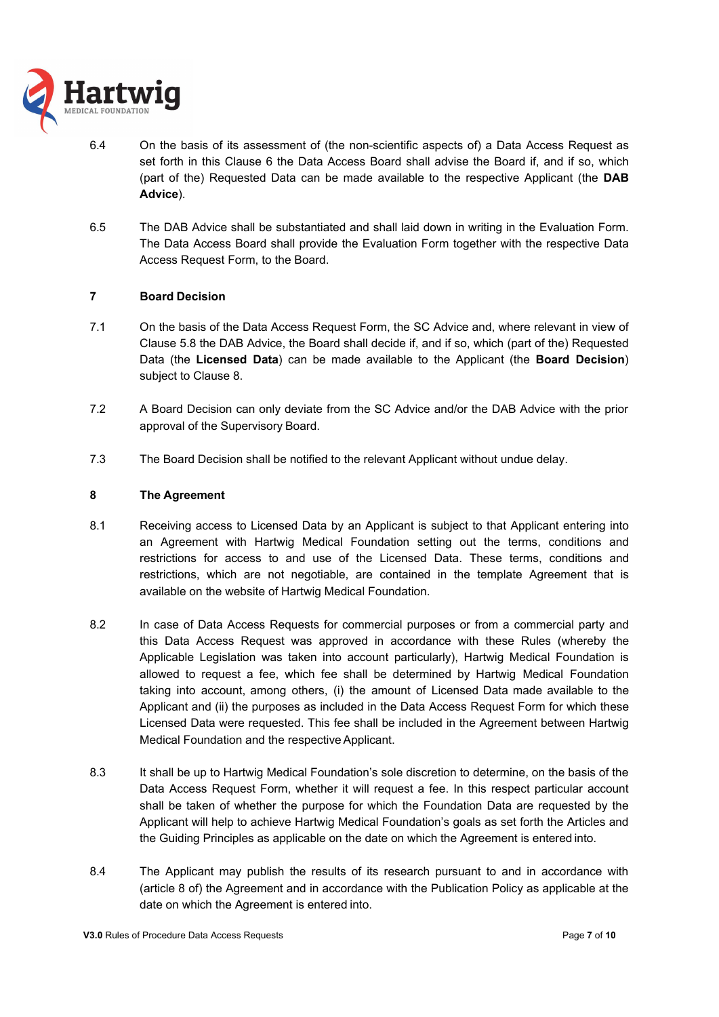

- 6.4 On the basis of its assessment of (the non-scientific aspects of) a Data Access Request as set forth in this Clause 6 the Data Access Board shall advise the Board if, and if so, which (part of the) Requested Data can be made available to the respective Applicant (the **DAB Advice**).
- 6.5 The DAB Advice shall be substantiated and shall laid down in writing in the Evaluation Form. The Data Access Board shall provide the Evaluation Form together with the respective Data Access Request Form, to the Board.

# **7 Board Decision**

- 7.1 On the basis of the Data Access Request Form, the SC Advice and, where relevant in view of Clause 5.8 the DAB Advice, the Board shall decide if, and if so, which (part of the) Requested Data (the **Licensed Data**) can be made available to the Applicant (the **Board Decision**) subject to Clause 8.
- 7.2 A Board Decision can only deviate from the SC Advice and/or the DAB Advice with the prior approval of the Supervisory Board.
- 7.3 The Board Decision shall be notified to the relevant Applicant without undue delay.

## **8 The Agreement**

- 8.1 Receiving access to Licensed Data by an Applicant is subject to that Applicant entering into an Agreement with Hartwig Medical Foundation setting out the terms, conditions and restrictions for access to and use of the Licensed Data. These terms, conditions and restrictions, which are not negotiable, are contained in the template Agreement that is available on the website of Hartwig Medical Foundation.
- 8.2 In case of Data Access Requests for commercial purposes or from a commercial party and this Data Access Request was approved in accordance with these Rules (whereby the Applicable Legislation was taken into account particularly), Hartwig Medical Foundation is allowed to request a fee, which fee shall be determined by Hartwig Medical Foundation taking into account, among others, (i) the amount of Licensed Data made available to the Applicant and (ii) the purposes as included in the Data Access Request Form for which these Licensed Data were requested. This fee shall be included in the Agreement between Hartwig Medical Foundation and the respective Applicant.
- 8.3 It shall be up to Hartwig Medical Foundation's sole discretion to determine, on the basis of the Data Access Request Form, whether it will request a fee. In this respect particular account shall be taken of whether the purpose for which the Foundation Data are requested by the Applicant will help to achieve Hartwig Medical Foundation's goals as set forth the Articles and the Guiding Principles as applicable on the date on which the Agreement is entered into.
- 8.4 The Applicant may publish the results of its research pursuant to and in accordance with (article 8 of) the Agreement and in accordance with the Publication Policy as applicable at the date on which the Agreement is entered into.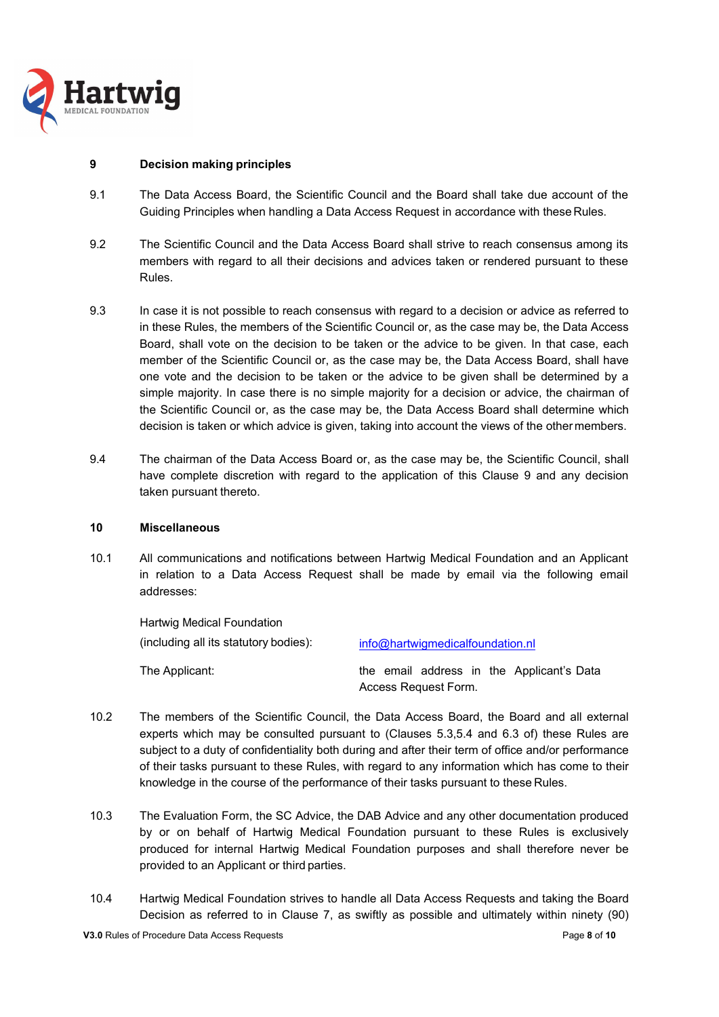

## **9 Decision making principles**

- 9.1 The Data Access Board, the Scientific Council and the Board shall take due account of the Guiding Principles when handling a Data Access Request in accordance with these Rules.
- 9.2 The Scientific Council and the Data Access Board shall strive to reach consensus among its members with regard to all their decisions and advices taken or rendered pursuant to these Rules.
- 9.3 In case it is not possible to reach consensus with regard to a decision or advice as referred to in these Rules, the members of the Scientific Council or, as the case may be, the Data Access Board, shall vote on the decision to be taken or the advice to be given. In that case, each member of the Scientific Council or, as the case may be, the Data Access Board, shall have one vote and the decision to be taken or the advice to be given shall be determined by a simple majority. In case there is no simple majority for a decision or advice, the chairman of the Scientific Council or, as the case may be, the Data Access Board shall determine which decision is taken or which advice is given, taking into account the views of the other members.
- 9.4 The chairman of the Data Access Board or, as the case may be, the Scientific Council, shall have complete discretion with regard to the application of this Clause 9 and any decision taken pursuant thereto.

## **10 Miscellaneous**

10.1 All communications and notifications between Hartwig Medical Foundation and an Applicant in relation to a Data Access Request shall be made by email via the following email addresses:

| Hartwig Medical Foundation            |                                           |
|---------------------------------------|-------------------------------------------|
| (including all its statutory bodies): | info@hartwigmedicalfoundation.nl          |
| The Applicant:                        | the email address in the Applicant's Data |

Access Request Form.

- 10.2 The members of the Scientific Council, the Data Access Board, the Board and all external experts which may be consulted pursuant to (Clauses 5.3,5.4 and 6.3 of) these Rules are subject to a duty of confidentiality both during and after their term of office and/or performance of their tasks pursuant to these Rules, with regard to any information which has come to their knowledge in the course of the performance of their tasks pursuant to these Rules.
- 10.3 The Evaluation Form, the SC Advice, the DAB Advice and any other documentation produced by or on behalf of Hartwig Medical Foundation pursuant to these Rules is exclusively produced for internal Hartwig Medical Foundation purposes and shall therefore never be provided to an Applicant or third parties.
- 10.4 Hartwig Medical Foundation strives to handle all Data Access Requests and taking the Board Decision as referred to in Clause 7, as swiftly as possible and ultimately within ninety (90)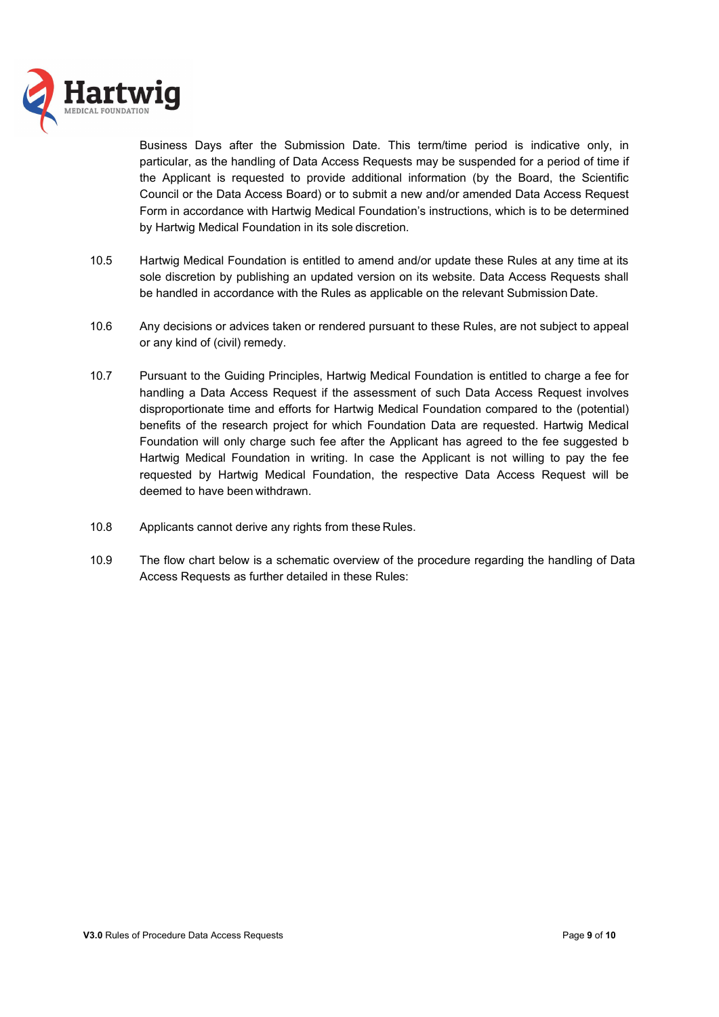

Business Days after the Submission Date. This term/time period is indicative only, in particular, as the handling of Data Access Requests may be suspended for a period of time if the Applicant is requested to provide additional information (by the Board, the Scientific Council or the Data Access Board) or to submit a new and/or amended Data Access Request Form in accordance with Hartwig Medical Foundation's instructions, which is to be determined by Hartwig Medical Foundation in its sole discretion.

- 10.5 Hartwig Medical Foundation is entitled to amend and/or update these Rules at any time at its sole discretion by publishing an updated version on its website. Data Access Requests shall be handled in accordance with the Rules as applicable on the relevant Submission Date.
- 10.6 Any decisions or advices taken or rendered pursuant to these Rules, are not subject to appeal or any kind of (civil) remedy.
- 10.7 Pursuant to the Guiding Principles, Hartwig Medical Foundation is entitled to charge a fee for handling a Data Access Request if the assessment of such Data Access Request involves disproportionate time and efforts for Hartwig Medical Foundation compared to the (potential) benefits of the research project for which Foundation Data are requested. Hartwig Medical Foundation will only charge such fee after the Applicant has agreed to the fee suggested b Hartwig Medical Foundation in writing. In case the Applicant is not willing to pay the fee requested by Hartwig Medical Foundation, the respective Data Access Request will be deemed to have been withdrawn.
- 10.8 Applicants cannot derive any rights from these Rules.
- 10.9 The flow chart below is a schematic overview of the procedure regarding the handling of Data Access Requests as further detailed in these Rules: